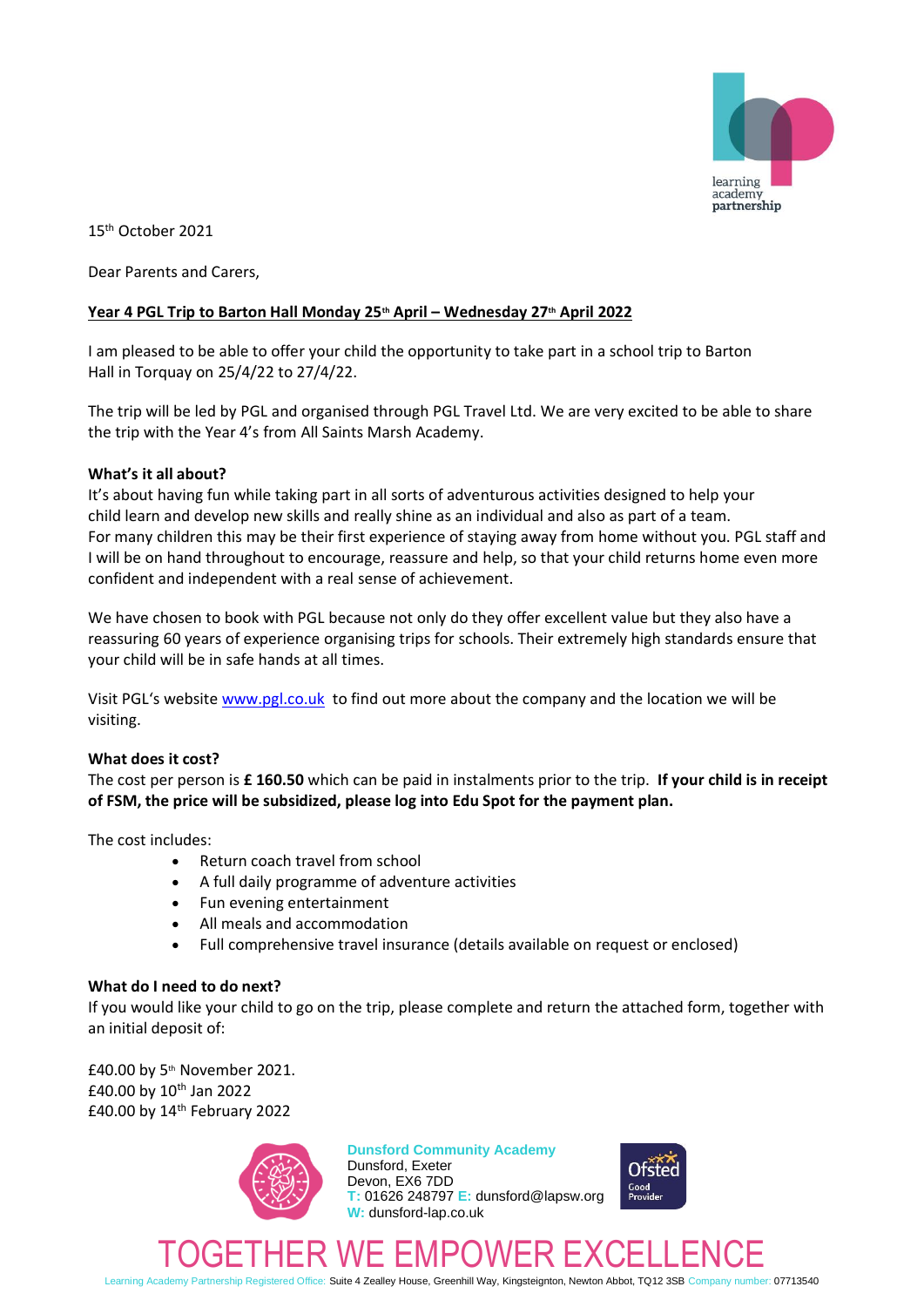

15 th October 2021

Dear Parents and Carers,

## **Year 4 PGL Trip to Barton Hall Monday 25th April – Wednesday 27th April 2022**

I am pleased to be able to offer your child the opportunity to take part in a school trip to Barton Hall in Torquay on 25/4/22 to 27/4/22.

The trip will be led by PGL and organised through PGL Travel Ltd. We are very excited to be able to share the trip with the Year 4's from All Saints Marsh Academy.

## **What's it all about?**

It's about having fun while taking part in all sorts of adventurous activities designed to help your child learn and develop new skills and really shine as an individual and also as part of a team. For many children this may be their first experience of staying away from home without you. PGL staff and I will be on hand throughout to encourage, reassure and help, so that your child returns home even more confident and independent with a real sense of achievement.

We have chosen to book with PGL because not only do they offer excellent value but they also have a reassuring 60 years of experience organising trips for schools. Their extremely high standards ensure that your child will be in safe hands at all times.

Visit PGL's website [www.pgl.co.uk](http://www.pgl.co.uk/) to find out more about the company and the location we will be visiting.

## **What does it cost?**

The cost per person is **£ 160.50** which can be paid in instalments prior to the trip. **If your child is in receipt of FSM, the price will be subsidized, please log into Edu Spot for the payment plan.**

The cost includes:

- Return coach travel from school
- A full daily programme of adventure activities
- Fun evening entertainment
- All meals and accommodation
- Full comprehensive travel insurance (details available on request or enclosed)

## **What do I need to do next?**

If you would like your child to go on the trip, please complete and return the attached form, together with an initial deposit of:

£40.00 by 5th November 2021. £40.00 by  $10^{th}$  Jan 2022 £40.00 by 14th February 2022



# **Dunsford Community Academy**

Dunsford, Exeter Devon, EX6 7DD **T:** 01626 248797 **E:** dunsford@lapsw.org **W:** dunsford-lap.co.uk



# TOGETHER WE EMPOWER EXCELLENCE

Learning Academy Partnership Registered Office: Suite 4 Zealley House, Greenhill Way, Kingsteignton, Newton Abbot, TQ12 3SB Company number: 07713540